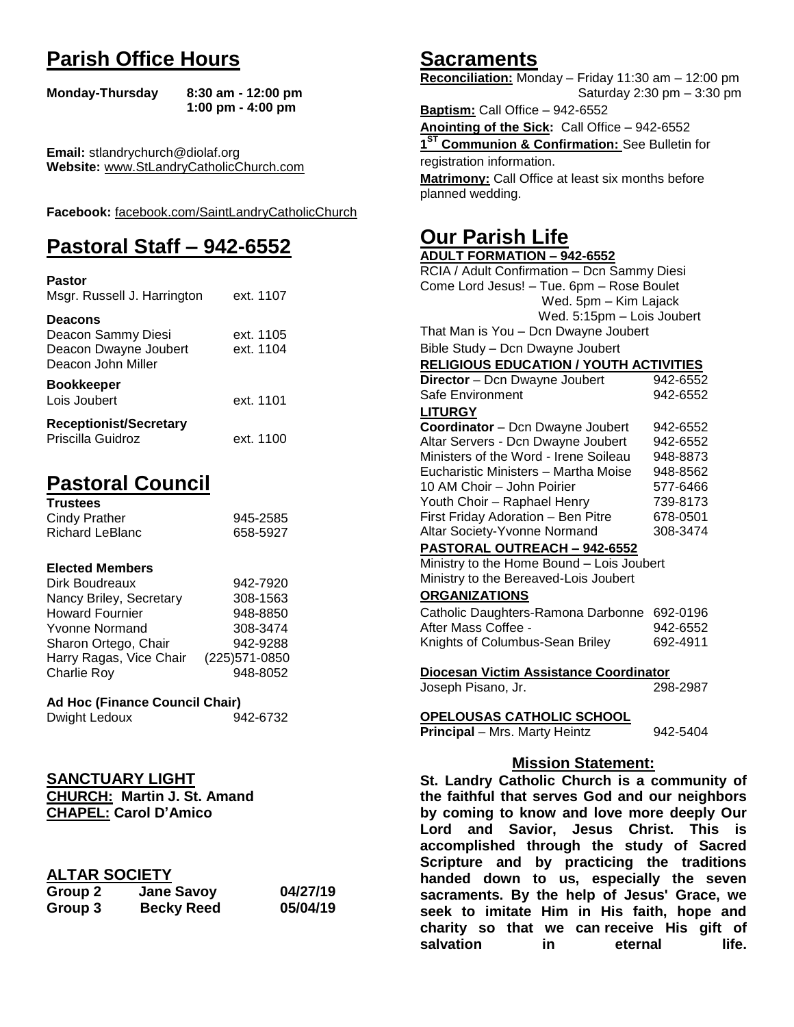# **Parish Office Hours**

```
Monday-Thursday 8:30 am - 12:00 pm
       1:00 pm - 4:00 pm
```
**Email:** stlandrychurch@diolaf.org **Website:** [www.StLandryCatholicChurch.com](http://www.stlandrycatholicchurch.com/)

**Facebook:** [facebook.com/SaintLandryCatholicChurch](http://facebook.com/SaintLandryCatholicChurch)

# **Pastoral Staff – 942-6552**

| <b>Pastor</b><br>Msgr. Russell J. Harrington                                        | ext. 1107              |
|-------------------------------------------------------------------------------------|------------------------|
| <b>Deacons</b><br>Deacon Sammy Diesi<br>Deacon Dwayne Joubert<br>Deacon John Miller | ext. 1105<br>ext. 1104 |
| <b>Bookkeeper</b><br>Lois Joubert                                                   | ext. 1101              |
| <b>Receptionist/Secretary</b><br>Priscilla Guidroz                                  | ext. 1100              |

# **Pastoral Council**

| <b>Trustees</b> |          |
|-----------------|----------|
| Cindy Prather   | 945-2585 |
| Richard LeBlanc | 658-5927 |

#### **Elected Members**

| Dirk Boudreaux          | 942-7920       |
|-------------------------|----------------|
| Nancy Briley, Secretary | 308-1563       |
| <b>Howard Fournier</b>  | 948-8850       |
| <b>Yvonne Normand</b>   | 308-3474       |
| Sharon Ortego, Chair    | 942-9288       |
| Harry Ragas, Vice Chair | (225) 571-0850 |
| <b>Charlie Roy</b>      | 948-8052       |

#### **Ad Hoc (Finance Council Chair)**

| Dwight Ledoux | 942-6732 |
|---------------|----------|
|---------------|----------|

## **SANCTUARY LIGHT**

**CHURCH: Martin J. St. Amand CHAPEL: Carol D'Amico**

### **ALTAR SOCIETY**

| Group 2 | <b>Jane Savoy</b> | 04/27/19 |
|---------|-------------------|----------|
| Group 3 | <b>Becky Reed</b> | 05/04/19 |

## **Sacraments**

**Reconciliation:** Monday – Friday 11:30 am – 12:00 pm Saturday 2:30 pm – 3:30 pm

**Baptism:** Call Office – 942-6552 **Anointing of the Sick:** Call Office – 942-6552 **1 ST Communion & Confirmation:** See Bulletin for registration information. **Matrimony:** Call Office at least six months before planned wedding.

## **Our Parish Life**

| <b>ADULT FORMATION - 942-6552</b>                           |          |  |
|-------------------------------------------------------------|----------|--|
| RCIA / Adult Confirmation - Dcn Sammy Diesi                 |          |  |
| Come Lord Jesus! - Tue. 6pm - Rose Boulet                   |          |  |
| Wed. 5pm - Kim Lajack                                       |          |  |
| Wed. 5:15pm - Lois Joubert                                  |          |  |
| That Man is You - Dcn Dwayne Joubert                        |          |  |
| Bible Study - Dcn Dwayne Joubert                            |          |  |
| <b>RELIGIOUS EDUCATION / YOUTH ACTIVITIES</b>               |          |  |
| Director - Dcn Dwayne Joubert                               | 942-6552 |  |
| Safe Environment                                            | 942-6552 |  |
| <b>LITURGY</b>                                              |          |  |
| Coordinator - Dcn Dwayne Joubert                            | 942-6552 |  |
| Altar Servers - Dcn Dwayne Joubert                          | 942-6552 |  |
| Ministers of the Word - Irene Soileau                       | 948-8873 |  |
| Eucharistic Ministers - Martha Moise                        | 948-8562 |  |
| 10 AM Choir - John Poirier                                  | 577-6466 |  |
| Youth Choir - Raphael Henry                                 | 739-8173 |  |
| First Friday Adoration - Ben Pitre                          | 678-0501 |  |
| Altar Society-Yvonne Normand                                | 308-3474 |  |
| PASTORAL OUTREACH - 942-6552                                |          |  |
| Ministry to the Home Bound - Lois Joubert                   |          |  |
| Ministry to the Bereaved-Lois Joubert                       |          |  |
| <b>ORGANIZATIONS</b>                                        |          |  |
| Catholic Daughters-Ramona Darbonne                          | 692-0196 |  |
| After Mass Coffee -                                         | 942-6552 |  |
| Knights of Columbus-Sean Briley                             | 692-4911 |  |
|                                                             |          |  |
| Diocesan Victim Assistance Coordinator                      |          |  |
| Joseph Pisano, Jr.                                          | 298-2987 |  |
| <b>OPELOUSAS CATHOLIC SCHOOL</b>                            |          |  |
| <b>Principal</b> - Mrs. Marty Heintz                        | 942-5404 |  |
|                                                             |          |  |
| <b>Mission Statement:</b>                                   |          |  |
| St. Landry Catholic Church is a community of                |          |  |
| the faithful that serves God and our neighbors              |          |  |
| by coming to know and love more deeply Our                  |          |  |
| and<br>Savior, Jesus Christ.<br><b>This</b><br>is i<br>Lord |          |  |
| accomplished through the study of Sacred                    |          |  |
|                                                             |          |  |
| Scripture and by practicing the traditions                  |          |  |

**handed down to us, especially the seven sacraments. By the help of Jesus' Grace, we seek to imitate Him in His faith, hope and charity so that we can receive His gift of salvation in** eternal life.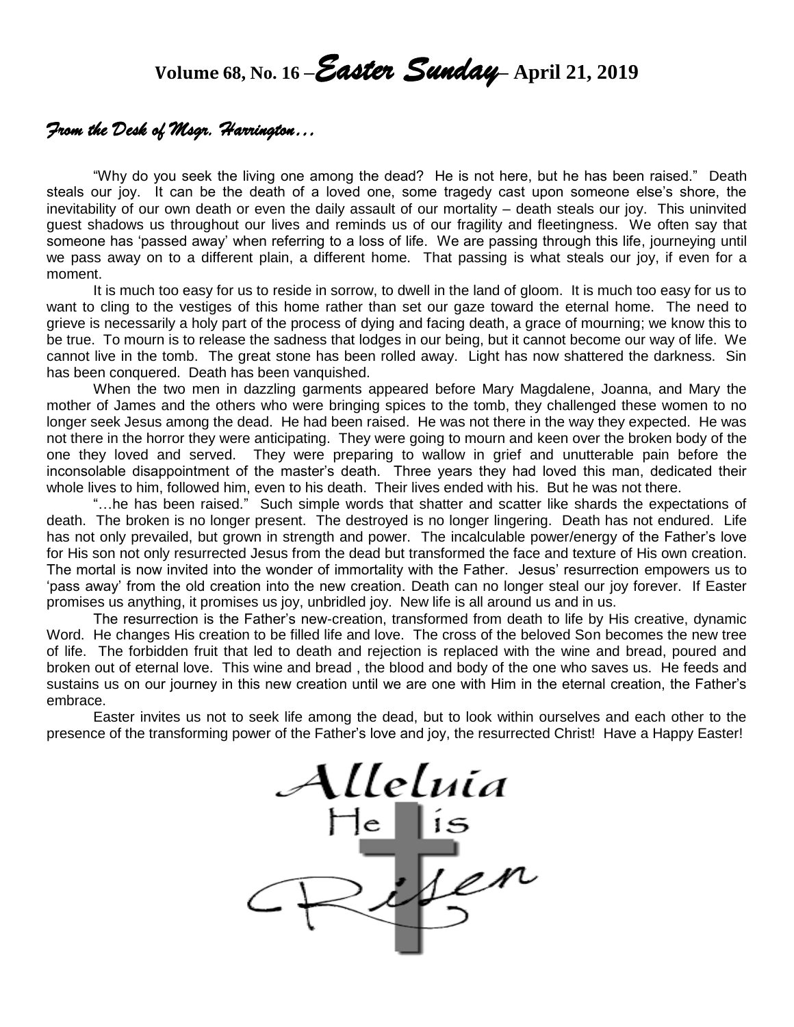# **Volume 68, No. 16 –***Easter Sunday***– April 21, <sup>2019</sup>**

### *From the Desk of Msgr. Harrington…*

"Why do you seek the living one among the dead? He is not here, but he has been raised." Death steals our joy. It can be the death of a loved one, some tragedy cast upon someone else's shore, the inevitability of our own death or even the daily assault of our mortality – death steals our joy. This uninvited guest shadows us throughout our lives and reminds us of our fragility and fleetingness. We often say that someone has 'passed away' when referring to a loss of life. We are passing through this life, journeying until we pass away on to a different plain, a different home. That passing is what steals our joy, if even for a moment.

It is much too easy for us to reside in sorrow, to dwell in the land of gloom. It is much too easy for us to want to cling to the vestiges of this home rather than set our gaze toward the eternal home. The need to grieve is necessarily a holy part of the process of dying and facing death, a grace of mourning; we know this to be true. To mourn is to release the sadness that lodges in our being, but it cannot become our way of life. We cannot live in the tomb. The great stone has been rolled away. Light has now shattered the darkness. Sin has been conquered. Death has been vanquished.

When the two men in dazzling garments appeared before Mary Magdalene, Joanna, and Mary the mother of James and the others who were bringing spices to the tomb, they challenged these women to no longer seek Jesus among the dead. He had been raised. He was not there in the way they expected. He was not there in the horror they were anticipating. They were going to mourn and keen over the broken body of the one they loved and served. They were preparing to wallow in grief and unutterable pain before the inconsolable disappointment of the master's death. Three years they had loved this man, dedicated their whole lives to him, followed him, even to his death. Their lives ended with his. But he was not there.

"…he has been raised." Such simple words that shatter and scatter like shards the expectations of death. The broken is no longer present. The destroyed is no longer lingering. Death has not endured. Life has not only prevailed, but grown in strength and power. The incalculable power/energy of the Father's love for His son not only resurrected Jesus from the dead but transformed the face and texture of His own creation. The mortal is now invited into the wonder of immortality with the Father. Jesus' resurrection empowers us to 'pass away' from the old creation into the new creation. Death can no longer steal our joy forever. If Easter promises us anything, it promises us joy, unbridled joy. New life is all around us and in us.

The resurrection is the Father's new-creation, transformed from death to life by His creative, dynamic Word. He changes His creation to be filled life and love. The cross of the beloved Son becomes the new tree of life. The forbidden fruit that led to death and rejection is replaced with the wine and bread, poured and broken out of eternal love. This wine and bread , the blood and body of the one who saves us. He feeds and sustains us on our journey in this new creation until we are one with Him in the eternal creation, the Father's embrace.

Easter invites us not to seek life among the dead, but to look within ourselves and each other to the presence of the transforming power of the Father's love and joy, the resurrected Christ! Have a Happy Easter!

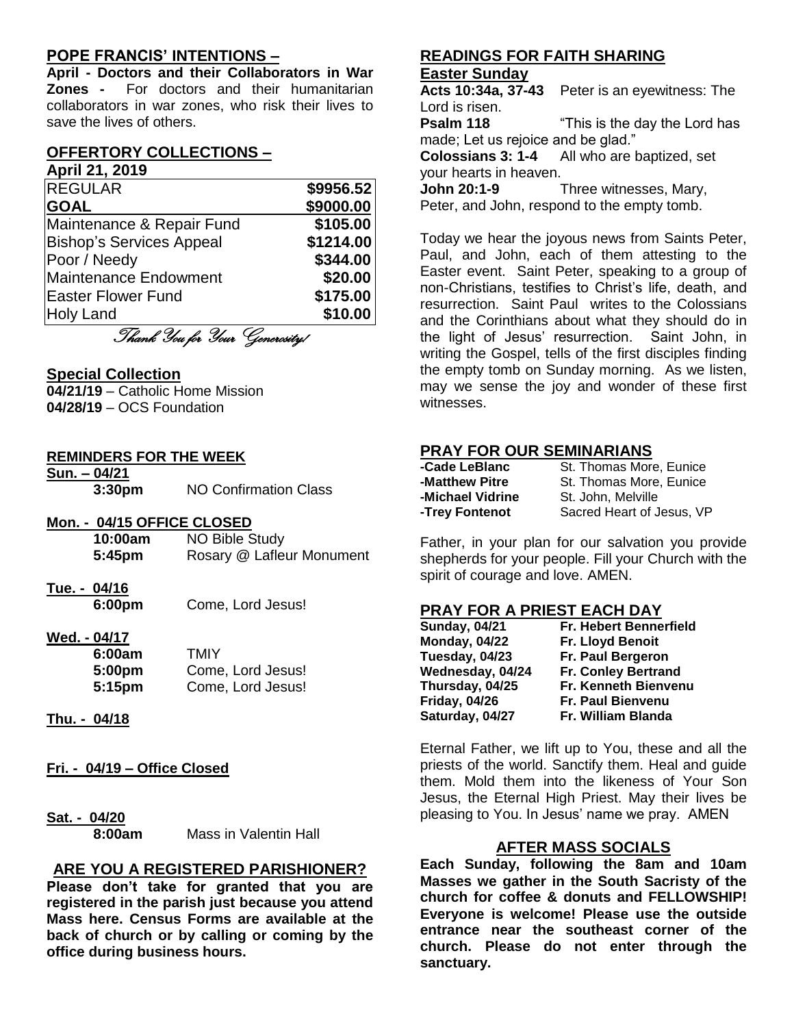#### **POPE FRANCIS' INTENTIONS –**

**April - Doctors and their Collaborators in War Zones -** For doctors and their humanitarian collaborators in war zones, who risk their lives to save the lives of others.

## **OFFERTORY COLLECTIONS –**

#### **April 21, 2019**

| <b>REGULAR</b>                  | \$9956.52 |
|---------------------------------|-----------|
| <b>GOAL</b>                     | \$9000.00 |
| Maintenance & Repair Fund       | \$105.00  |
| <b>Bishop's Services Appeal</b> | \$1214.00 |
| Poor / Needy                    | \$344.00  |
| <b>Maintenance Endowment</b>    | \$20.00   |
| <b>Easter Flower Fund</b>       | \$175.00  |
| <b>Holy Land</b>                | \$10.00   |
| $\sim$                          |           |

Thank You for Your Generosity!

#### **Special Collection**

**04/21/19** – Catholic Home Mission **04/28/19** – OCS Foundation

#### **REMINDERS FOR THE WEEK**

**Sun. – 04/21 3:30pm** NO Confirmation Class

#### **Mon. - 04/15 OFFICE CLOSED**

| 10:00am | NO Bible Study            |
|---------|---------------------------|
| 5:45pm  | Rosary @ Lafleur Monument |

**Tue. - 04/16** 

**6:00pm** Come, Lord Jesus!

# **Wed. - 04/17**

| 6:00am | TMIY              |
|--------|-------------------|
| 5:00pm | Come, Lord Jesus! |
| 5:15pm | Come, Lord Jesus! |

- **Thu. - 04/18**
- **Fri. - 04/19 – Office Closed**

#### **Sat. - 04/20**

**8:00am** Mass in Valentin Hall

#### **ARE YOU A REGISTERED PARISHIONER?**

**Please don't take for granted that you are registered in the parish just because you attend Mass here. Census Forms are available at the back of church or by calling or coming by the office during business hours.**

#### **READINGS FOR FAITH SHARING Easter Sunday**

**Acts 10:34a, 37-43** Peter is an eyewitness: The Lord is risen.

**Psalm 118** "This is the day the Lord has made; Let us rejoice and be glad."

**Colossians 3: 1-4** All who are baptized, set your hearts in heaven.

**John 20:1-9** Three witnesses, Mary,

Peter, and John, respond to the empty tomb.

Today we hear the joyous news from Saints Peter, Paul, and John, each of them attesting to the Easter event. Saint Peter, speaking to a group of non-Christians, testifies to Christ's life, death, and resurrection. Saint Paul writes to the Colossians and the Corinthians about what they should do in the light of Jesus' resurrection. Saint John, in writing the Gospel, tells of the first disciples finding the empty tomb on Sunday morning. As we listen, may we sense the joy and wonder of these first witnesses.

#### **PRAY FOR OUR SEMINARIANS**

| St. Thomas More, Eunice   |
|---------------------------|
| St. Thomas More, Eunice   |
| St. John. Melville        |
| Sacred Heart of Jesus, VP |
|                           |

Father, in your plan for our salvation you provide shepherds for your people. Fill your Church with the spirit of courage and love. AMEN.

#### **PRAY FOR A PRIEST EACH DAY**

| <b>Sunday, 04/21</b> | Fr. Hebert Bennerfield      |
|----------------------|-----------------------------|
| <b>Monday, 04/22</b> | Fr. Lloyd Benoit            |
| Tuesday, 04/23       | Fr. Paul Bergeron           |
| Wednesday, 04/24     | Fr. Conley Bertrand         |
| Thursday, 04/25      | <b>Fr. Kenneth Bienvenu</b> |
| <b>Friday, 04/26</b> | <b>Fr. Paul Bienvenu</b>    |
| Saturday, 04/27      | Fr. William Blanda          |

Eternal Father, we lift up to You, these and all the priests of the world. Sanctify them. Heal and guide them. Mold them into the likeness of Your Son Jesus, the Eternal High Priest. May their lives be pleasing to You. In Jesus' name we pray. AMEN

#### **AFTER MASS SOCIALS**

**Each Sunday, following the 8am and 10am Masses we gather in the South Sacristy of the church for coffee & donuts and FELLOWSHIP! Everyone is welcome! Please use the outside entrance near the southeast corner of the church. Please do not enter through the sanctuary.**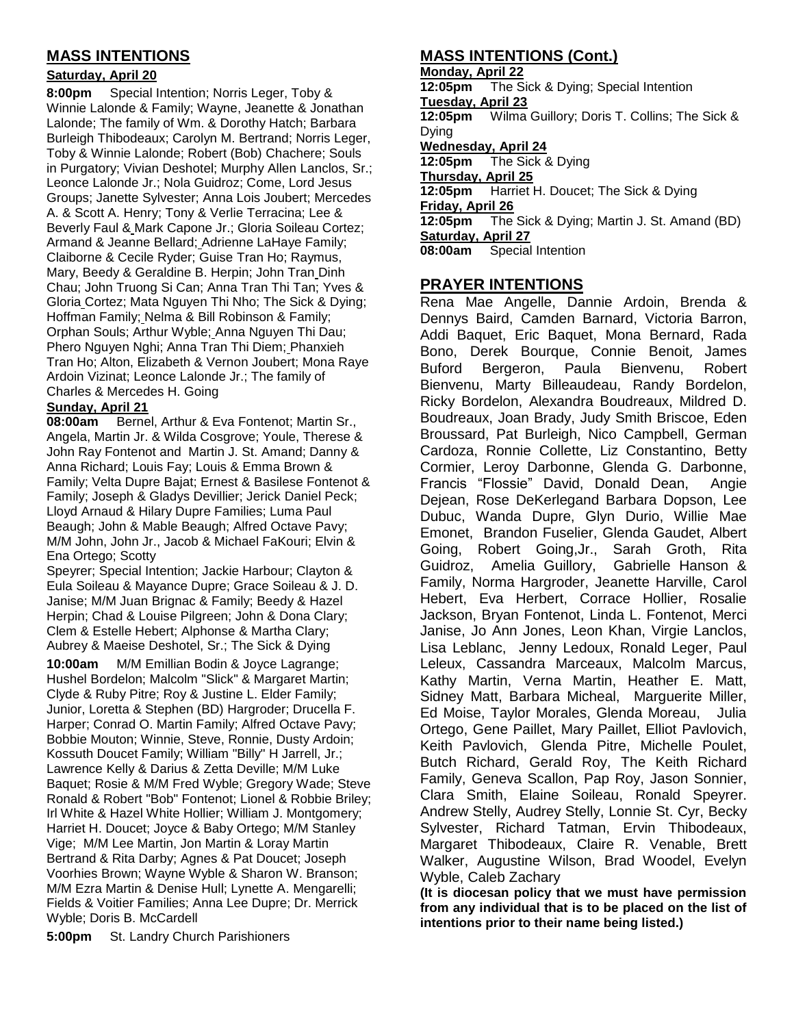#### **MASS INTENTIONS**

#### **Saturday, April 20**

**8:00pm** Special Intention; Norris Leger, Toby & Winnie Lalonde & Family; Wayne, Jeanette & Jonathan Lalonde; The family of Wm. & Dorothy Hatch; Barbara Burleigh Thibodeaux; Carolyn M. Bertrand; Norris Leger, Toby & Winnie Lalonde; Robert (Bob) Chachere; Souls in Purgatory; Vivian Deshotel; Murphy Allen Lanclos, Sr.; Leonce Lalonde Jr.; Nola Guidroz; Come, Lord Jesus Groups; Janette Sylvester; Anna Lois Joubert; Mercedes A. & Scott A. Henry; Tony & Verlie Terracina; Lee & Beverly Faul & Mark Capone Jr.; Gloria Soileau Cortez; Armand & Jeanne Bellard; Adrienne LaHaye Family; Claiborne & Cecile Ryder; Guise Tran Ho; Raymus, Mary, Beedy & Geraldine B. Herpin; John Tran Dinh Chau; John Truong Si Can; Anna Tran Thi Tan; Yves & Gloria Cortez; Mata Nguyen Thi Nho; The Sick & Dying; Hoffman Family; Nelma & Bill Robinson & Family; Orphan Souls; Arthur Wyble; Anna Nguyen Thi Dau; Phero Nguyen Nghi; Anna Tran Thi Diem; Phanxieh Tran Ho; Alton, Elizabeth & Vernon Joubert; Mona Raye Ardoin Vizinat; Leonce Lalonde Jr.; The family of Charles & Mercedes H. Going

#### **Sunday, April 21**

**08:00am** Bernel, Arthur & Eva Fontenot; Martin Sr., Angela, Martin Jr. & Wilda Cosgrove; Youle, Therese & John Ray Fontenot and Martin J. St. Amand; Danny & Anna Richard; Louis Fay; Louis & Emma Brown & Family; Velta Dupre Bajat; Ernest & Basilese Fontenot & Family; Joseph & Gladys Devillier; Jerick Daniel Peck; Lloyd Arnaud & Hilary Dupre Families; Luma Paul Beaugh; John & Mable Beaugh; Alfred Octave Pavy; M/M John, John Jr., Jacob & Michael FaKouri; Elvin & Ena Ortego; Scotty

Speyrer; Special Intention; Jackie Harbour; Clayton & Eula Soileau & Mayance Dupre; Grace Soileau & J. D. Janise; M/M Juan Brignac & Family; Beedy & Hazel Herpin: Chad & Louise Pilgreen; John & Dona Clary; Clem & Estelle Hebert; Alphonse & Martha Clary; Aubrey & Maeise Deshotel, Sr.; The Sick & Dying

**10:00am** M/M Emillian Bodin & Joyce Lagrange; Hushel Bordelon; Malcolm "Slick" & Margaret Martin; Clyde & Ruby Pitre; Roy & Justine L. Elder Family; Junior, Loretta & Stephen (BD) Hargroder; Drucella F. Harper; Conrad O. Martin Family; Alfred Octave Pavy; Bobbie Mouton; Winnie, Steve, Ronnie, Dusty Ardoin; Kossuth Doucet Family; William "Billy" H Jarrell, Jr.; Lawrence Kelly & Darius & Zetta Deville; M/M Luke Baquet; Rosie & M/M Fred Wyble; Gregory Wade; Steve Ronald & Robert "Bob" Fontenot; Lionel & Robbie Briley; Irl White & Hazel White Hollier; William J. Montgomery; Harriet H. Doucet; Joyce & Baby Ortego; M/M Stanley Vige; M/M Lee Martin, Jon Martin & Loray Martin Bertrand & Rita Darby; Agnes & Pat Doucet; Joseph Voorhies Brown; Wayne Wyble & Sharon W. Branson; M/M Ezra Martin & Denise Hull; Lynette A. Mengarelli; Fields & Voitier Families; Anna Lee Dupre; Dr. Merrick Wyble; Doris B. McCardell

**5:00pm** St. Landry Church Parishioners

#### **MASS INTENTIONS (Cont.)**

**Monday, April 22 12:05pm** The Sick & Dying; Special Intention **Tuesday, April 23 12:05pm** Wilma Guillory; Doris T. Collins; The Sick & Dying **Wednesday, April 24 12:05pm** The Sick & Dying **Thursday, April 25 12:05pm** Harriet H. Doucet; The Sick & Dying **Friday, April 26**<br>**12:05pm** The The Sick & Dying; Martin J. St. Amand (BD) **Saturday, April 27 08:00am** Special Intention

#### **PRAYER INTENTIONS**

Rena Mae Angelle, Dannie Ardoin, Brenda & Dennys Baird, Camden Barnard, Victoria Barron, Addi Baquet, Eric Baquet, Mona Bernard, Rada Bono, Derek Bourque, Connie Benoit, James Buford Bergeron, Paula Bienvenu, Robert Bienvenu, Marty Billeaudeau, Randy Bordelon, Ricky Bordelon, Alexandra Boudreaux, Mildred D. Boudreaux, Joan Brady, Judy Smith Briscoe, Eden Broussard, Pat Burleigh, Nico Campbell, German Cardoza, Ronnie Collette, Liz Constantino, Betty Cormier, Leroy Darbonne, Glenda G. Darbonne, Francis "Flossie" David, Donald Dean, Angie Dejean, Rose DeKerlegand Barbara Dopson, Lee Dubuc, Wanda Dupre, Glyn Durio, Willie Mae Emonet, Brandon Fuselier, Glenda Gaudet, Albert Going, Robert Going,Jr., Sarah Groth, Rita Guidroz, Amelia Guillory, Gabrielle Hanson & Family, Norma Hargroder, Jeanette Harville, Carol Hebert, Eva Herbert, Corrace Hollier, Rosalie Jackson, Bryan Fontenot, Linda L. Fontenot, Merci Janise, Jo Ann Jones, Leon Khan, Virgie Lanclos, Lisa Leblanc, Jenny Ledoux, Ronald Leger, Paul Leleux, Cassandra Marceaux, Malcolm Marcus, Kathy Martin, Verna Martin, Heather E. Matt, Sidney Matt, Barbara Micheal, Marguerite Miller, Ed Moise, Taylor Morales, Glenda Moreau, Julia Ortego, Gene Paillet, Mary Paillet, Elliot Pavlovich, Keith Pavlovich, Glenda Pitre, Michelle Poulet, Butch Richard, Gerald Roy, The Keith Richard Family, Geneva Scallon, Pap Roy, Jason Sonnier, Clara Smith, Elaine Soileau, Ronald Speyrer. Andrew Stelly, Audrey Stelly, Lonnie St. Cyr, Becky Sylvester, Richard Tatman, Ervin Thibodeaux, Margaret Thibodeaux, Claire R. Venable, Brett Walker, Augustine Wilson, Brad Woodel, Evelyn Wyble, Caleb Zachary

**(It is diocesan policy that we must have permission from any individual that is to be placed on the list of intentions prior to their name being listed.)**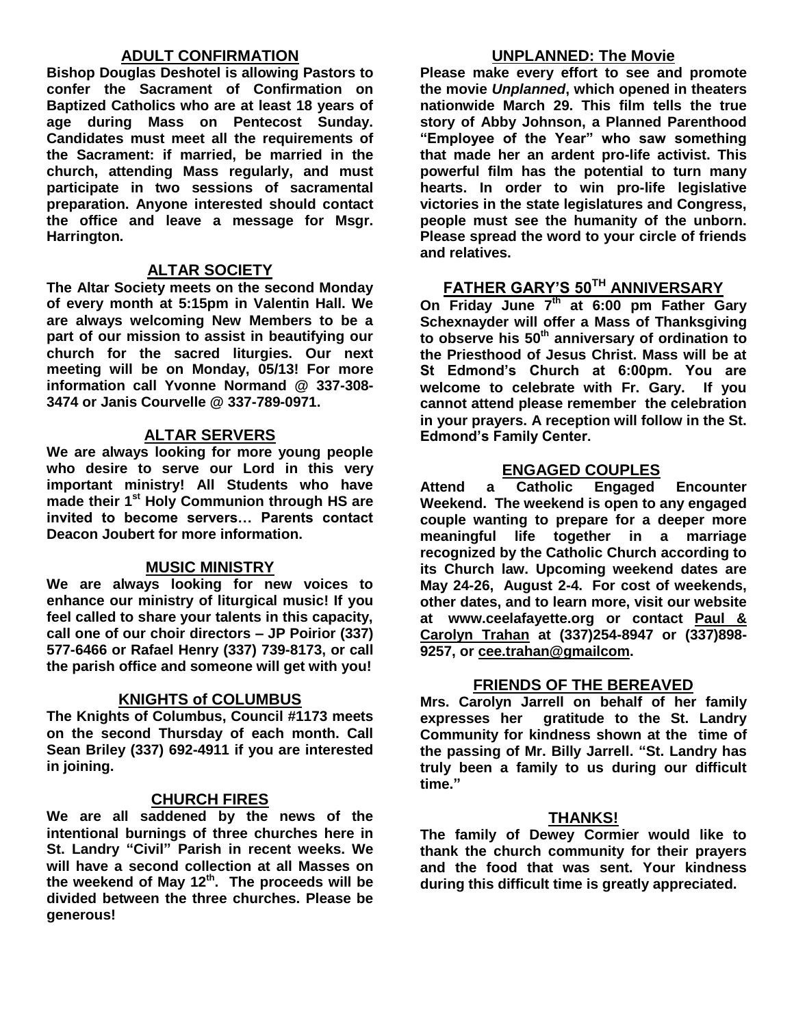#### **ADULT CONFIRMATION**

**Bishop Douglas Deshotel is allowing Pastors to confer the Sacrament of Confirmation on Baptized Catholics who are at least 18 years of age during Mass on Pentecost Sunday. Candidates must meet all the requirements of the Sacrament: if married, be married in the church, attending Mass regularly, and must participate in two sessions of sacramental preparation. Anyone interested should contact the office and leave a message for Msgr. Harrington.** 

#### **ALTAR SOCIETY**

**The Altar Society meets on the second Monday of every month at 5:15pm in Valentin Hall. We are always welcoming New Members to be a part of our mission to assist in beautifying our church for the sacred liturgies. Our next meeting will be on Monday, 05/13! For more information call Yvonne Normand @ 337-308- 3474 or Janis Courvelle @ 337-789-0971.** 

#### **ALTAR SERVERS**

**We are always looking for more young people who desire to serve our Lord in this very important ministry! All Students who have made their 1st Holy Communion through HS are invited to become servers… Parents contact Deacon Joubert for more information.**

#### **MUSIC MINISTRY**

**We are always looking for new voices to enhance our ministry of liturgical music! If you feel called to share your talents in this capacity, call one of our choir directors – JP Poirior (337) 577-6466 or Rafael Henry (337) 739-8173, or call the parish office and someone will get with you!**

#### **KNIGHTS of COLUMBUS**

**The Knights of Columbus, Council #1173 meets on the second Thursday of each month. Call Sean Briley (337) 692-4911 if you are interested in joining.** 

#### **CHURCH FIRES**

**We are all saddened by the news of the intentional burnings of three churches here in St. Landry "Civil" Parish in recent weeks. We will have a second collection at all Masses on the weekend of May 12th. The proceeds will be divided between the three churches. Please be generous!** 

#### **UNPLANNED: The Movie**

**Please make every effort to see and promote the movie** *Unplanned***, which opened in theaters nationwide March 29. This film tells the true story of Abby Johnson, a Planned Parenthood "Employee of the Year" who saw something that made her an ardent pro-life activist. This powerful film has the potential to turn many hearts. In order to win pro-life legislative victories in the state legislatures and Congress, people must see the humanity of the unborn. Please spread the word to your circle of friends and relatives.**

#### **FATHER GARY'S 50TH ANNIVERSARY**

**On Friday June 7th at 6:00 pm Father Gary Schexnayder will offer a Mass of Thanksgiving to observe his 50th anniversary of ordination to the Priesthood of Jesus Christ. Mass will be at St Edmond's Church at 6:00pm. You are welcome to celebrate with Fr. Gary. If you cannot attend please remember the celebration in your prayers. A reception will follow in the St. Edmond's Family Center.**

#### **ENGAGED COUPLES**

**Attend a Catholic Engaged Encounter Weekend. The weekend is open to any engaged couple wanting to prepare for a deeper more meaningful life together in a marriage recognized by the Catholic Church according to its Church law. Upcoming weekend dates are May 24-26, August 2-4. For cost of weekends, other dates, and to learn more, visit our website at www.ceelafayette.org or contact Paul & Carolyn Trahan at (337)254-8947 or (337)898- 9257, or [cee.trahan@gmailcom.](mailto:cee.trahan@gmailcom)**

#### **FRIENDS OF THE BEREAVED**

**Mrs. Carolyn Jarrell on behalf of her family expresses her gratitude to the St. Landry Community for kindness shown at the time of the passing of Mr. Billy Jarrell. "St. Landry has truly been a family to us during our difficult time."**

#### **THANKS!**

**The family of Dewey Cormier would like to thank the church community for their prayers and the food that was sent. Your kindness during this difficult time is greatly appreciated.**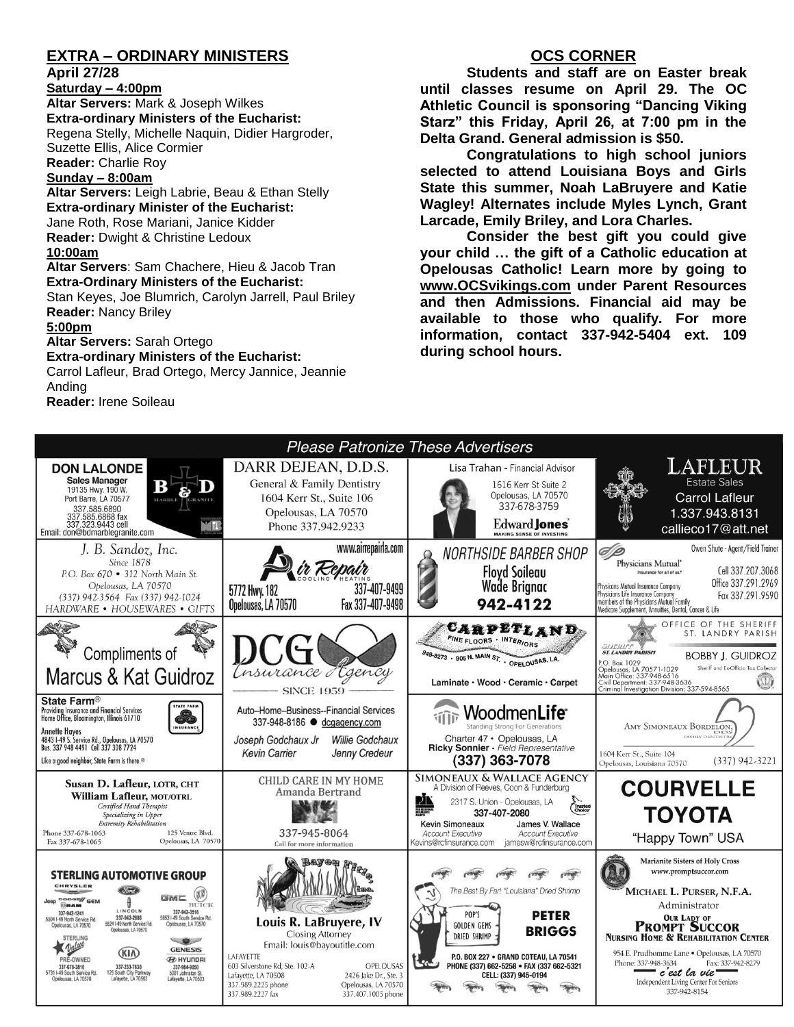#### **EXTRA – ORDINARY MINISTERS**

#### **April 27/28**

**Saturday – 4:00pm Altar Servers:** Mark & Joseph Wilkes **Extra-ordinary Ministers of the Eucharist:**  Regena Stelly, Michelle Naquin, Didier Hargroder, Suzette Ellis, Alice Cormier **Reader:** Charlie Roy

#### **Sunday – 8:00am**

**Altar Servers:** Leigh Labrie, Beau & Ethan Stelly **Extra-ordinary Minister of the Eucharist:** Jane Roth, Rose Mariani, Janice Kidder **Reader:** Dwight & Christine Ledoux **10:00am**

**Altar Servers**: Sam Chachere, Hieu & Jacob Tran **Extra-Ordinary Ministers of the Eucharist:**

Stan Keyes, Joe Blumrich, Carolyn Jarrell, Paul Briley **Reader:** Nancy Briley

#### **5:00pm**

**Altar Servers:** Sarah Ortego

#### **Extra-ordinary Ministers of the Eucharist:**

Carrol Lafleur, Brad Ortego, Mercy Jannice, Jeannie Anding

**Reader:** Irene Soileau

#### **OCS CORNER**

**Students and staff are on Easter break until classes resume on April 29. The OC Athletic Council is sponsoring "Dancing Viking Starz" this Friday, April 26, at 7:00 pm in the Delta Grand. General admission is \$50.**

**Congratulations to high school juniors selected to attend Louisiana Boys and Girls State this summer, Noah LaBruyere and Katie Wagley! Alternates include Myles Lynch, Grant Larcade, Emily Briley, and Lora Charles.** 

**Consider the best gift you could give your child … the gift of a Catholic education at Opelousas Catholic! Learn more by going to [www.OCSvikings.com](http://www.ocsvikings.com/) under Parent Resources and then Admissions. Financial aid may be available to those who qualify. For more information, contact 337-942-5404 ext. 109 during school hours.**